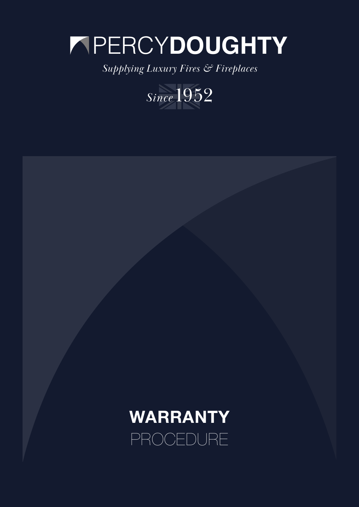# PERCY**DOUGHTY**

*Supplying Luxury Fires & Fireplaces*



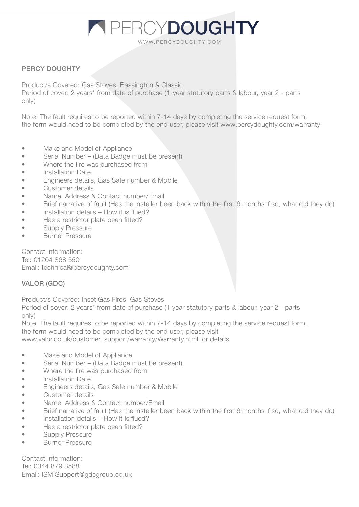# WWW.PERCYDOUGHTY.COM **PERCYDOUGHTY**

## PERCY DOUGHTY

Product/s Covered: Gas Stoves: Bassington & Classic

Period of cover: 2 years\* from date of purchase (1-year statutory parts & labour, year 2 - parts only)

Note: The fault requires to be reported within 7-14 days by completing the service request form, the form would need to be completed by the end user, please visit www.percydoughty.com/warranty

- Make and Model of Appliance
- Serial Number (Data Badge must be present)
- Where the fire was purchased from
- Installation Date
- Engineers details, Gas Safe number & Mobile
- Customer details
- Name, Address & Contact number/Email
- Brief narrative of fault (Has the installer been back within the first 6 months if so, what did they do)
- Installation details How it is flued?
- Has a restrictor plate been fitted?
- Supply Pressure
- Burner Pressure

Contact Information: Tel: 01204 868 550 Email: technical@percydoughty.com

#### VALOR (GDC)

Product/s Covered: Inset Gas Fires, Gas Stoves

Period of cover: 2 years\* from date of purchase (1 year statutory parts & labour, year 2 - parts only)

Note: The fault requires to be reported within 7-14 days by completing the service request form, the form would need to be completed by the end user, please visit

www.valor.co.uk/customer\_support/warranty/Warranty.html for details

- Make and Model of Appliance
- Serial Number (Data Badge must be present)
- Where the fire was purchased from
- Installation Date
- Engineers details, Gas Safe number & Mobile
- Customer details
- Name, Address & Contact number/Email
- Brief narrative of fault (Has the installer been back within the first 6 months if so, what did they do)
- Installation details How it is flued?
- Has a restrictor plate been fitted?
- Supply Pressure
- Burner Pressure

Contact Information: Tel: 0344 879 3588 Email: ISM.Support@gdcgroup.co.uk